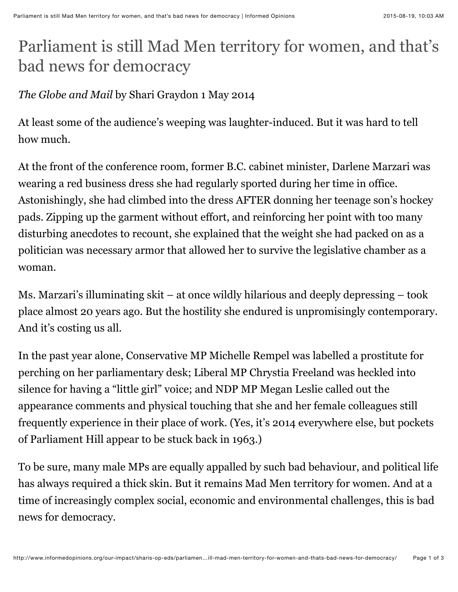## Parliament is still Mad Men territory for women, and that's bad news for democracy

## *The Globe and Mail* by Shari Graydon 1 May 2014

At least some of the audience's weeping was laughter-induced. But it was hard to tell how much.

At the front of the conference room, former B.C. cabinet minister, Darlene Marzari was wearing a red business dress she had regularly sported during her time in office. Astonishingly, she had climbed into the dress AFTER donning her teenage son's hockey pads. Zipping up the garment without effort, and reinforcing her point with too many disturbing anecdotes to recount, she explained that the weight she had packed on as a politician was necessary armor that allowed her to survive the legislative chamber as a woman.

Ms. Marzari's illuminating skit – at once wildly hilarious and deeply depressing – took place almost 20 years ago. But the hostility she endured is unpromisingly contemporary. And it's costing us all.

In the past year alone, Conservative MP Michelle Rempel was labelled a prostitute for perching on her parliamentary desk; Liberal MP Chrystia Freeland was heckled into silence for having a "little girl" voice; and NDP MP Megan Leslie called out the appearance comments and physical touching that she and her female colleagues still frequently experience in their place of work. (Yes, it's 2014 everywhere else, but pockets of Parliament Hill appear to be stuck back in 1963.)

To be sure, many male MPs are equally appalled by such bad behaviour, and political life has always required a thick skin. But it remains Mad Men territory for women. And at a time of increasingly complex social, economic and environmental challenges, this is bad news for democracy.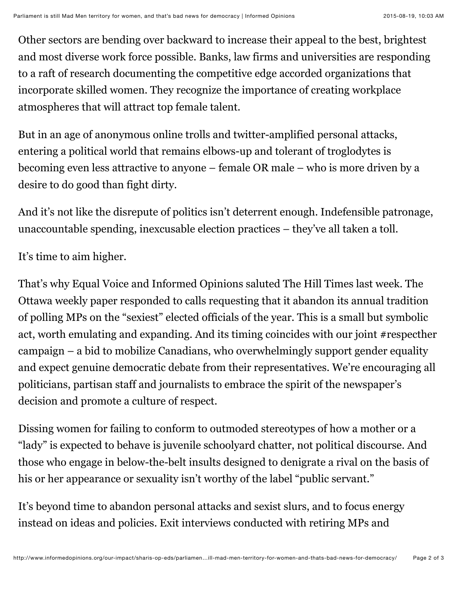Other sectors are bending over backward to increase their appeal to the best, brightest and most diverse work force possible. Banks, law firms and universities are responding to a raft of research documenting the competitive edge accorded organizations that incorporate skilled women. They recognize the importance of creating workplace atmospheres that will attract top female talent.

But in an age of anonymous online trolls and twitter-amplified personal attacks, entering a political world that remains elbows-up and tolerant of troglodytes is becoming even less attractive to anyone – female OR male – who is more driven by a desire to do good than fight dirty.

And it's not like the disrepute of politics isn't deterrent enough. Indefensible patronage, unaccountable spending, inexcusable election practices – they've all taken a toll.

It's time to aim higher.

That's why Equal Voice and Informed Opinions saluted The Hill Times last week. The Ottawa weekly paper responded to calls requesting that it abandon its annual tradition of polling MPs on the "sexiest" elected officials of the year. This is a small but symbolic act, worth emulating and expanding. And its timing coincides with our joint #respecther campaign – a bid to mobilize Canadians, who overwhelmingly support gender equality and expect genuine democratic debate from their representatives. We're encouraging all politicians, partisan staff and journalists to embrace the spirit of the newspaper's decision and promote a culture of respect.

Dissing women for failing to conform to outmoded stereotypes of how a mother or a "lady" is expected to behave is juvenile schoolyard chatter, not political discourse. And those who engage in below-the-belt insults designed to denigrate a rival on the basis of his or her appearance or sexuality isn't worthy of the label "public servant."

It's beyond time to abandon personal attacks and sexist slurs, and to focus energy instead on ideas and policies. Exit interviews conducted with retiring MPs and